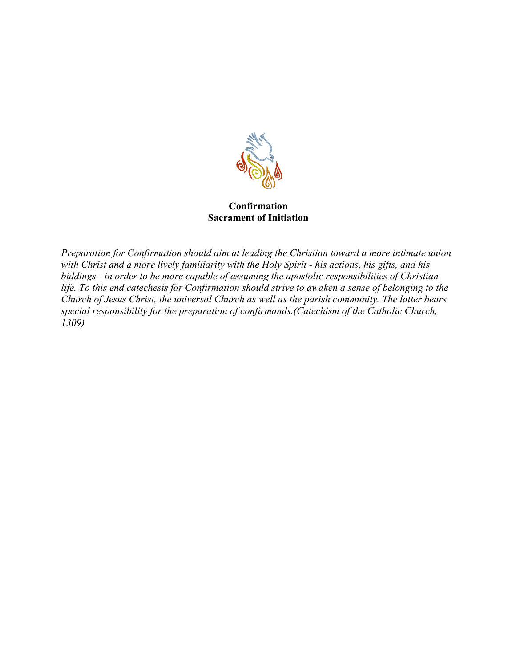

#### **Confirmation Sacrament of Initiation**

*Preparation for Confirmation should aim at leading the Christian toward a more intimate union with Christ and a more lively familiarity with the Holy Spirit - his actions, his gifts, and his biddings - in order to be more capable of assuming the apostolic responsibilities of Christian life. To this end catechesis for Confirmation should strive to awaken a sense of belonging to the Church of Jesus Christ, the universal Church as well as the parish community. The latter bears special responsibility for the preparation of confirmands.(Catechism of the Catholic Church, 1309)*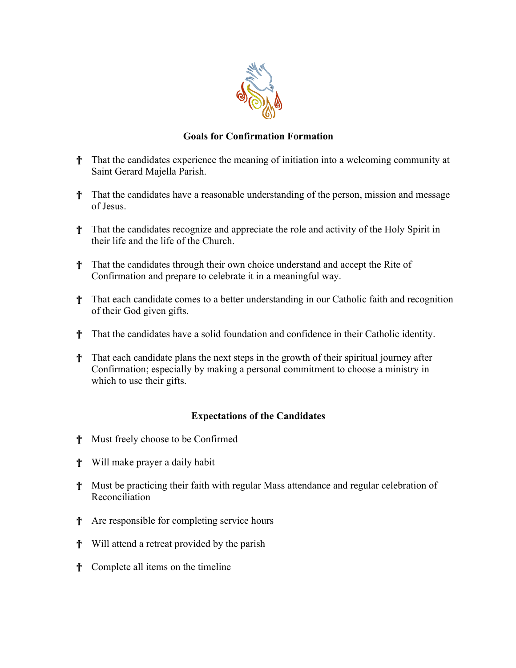

## **Goals for Confirmation Formation**

- † That the candidates experience the meaning of initiation into a welcoming community at Saint Gerard Majella Parish.
- † That the candidates have a reasonable understanding of the person, mission and message of Jesus.
- † That the candidates recognize and appreciate the role and activity of the Holy Spirit in their life and the life of the Church.
- † That the candidates through their own choice understand and accept the Rite of Confirmation and prepare to celebrate it in a meaningful way.
- † That each candidate comes to a better understanding in our Catholic faith and recognition of their God given gifts.
- † That the candidates have a solid foundation and confidence in their Catholic identity.
- † That each candidate plans the next steps in the growth of their spiritual journey after Confirmation; especially by making a personal commitment to choose a ministry in which to use their gifts.

## **Expectations of the Candidates**

- † Must freely choose to be Confirmed
- † Will make prayer a daily habit
- † Must be practicing their faith with regular Mass attendance and regular celebration of Reconciliation
- † Are responsible for completing service hours
- † Will attend a retreat provided by the parish
- † Complete all items on the timeline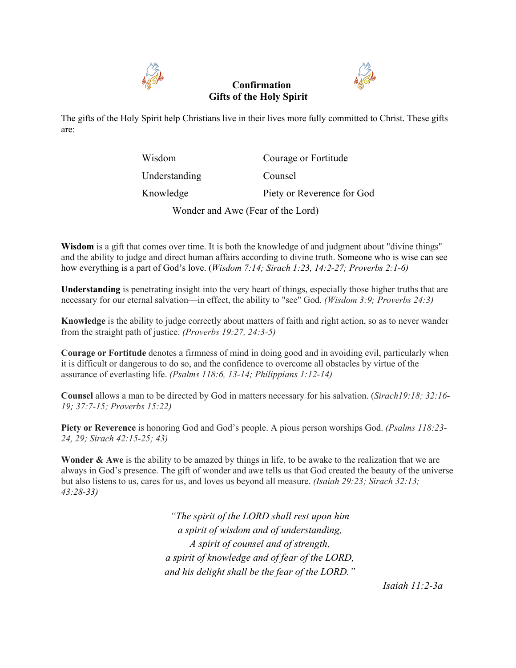

## **Confirmation Gifts of the Holy Spirit**



The gifts of the Holy Spirit help Christians live in their lives more fully committed to Christ. These gifts are:

| Wisdom                            | Courage or Fortitude       |
|-----------------------------------|----------------------------|
| Understanding                     | Counsel                    |
| Knowledge                         | Piety or Reverence for God |
| Wonder and Awe (Fear of the Lord) |                            |

**Wisdom** is a gift that comes over time. It is both the knowledge of and judgment about "divine things" and the ability to judge and direct human affairs according to divine truth. Someone who is wise can see how everything is a part of God's love. (*Wisdom 7:14; Sirach 1:23, 14:2-27; Proverbs 2:1-6)*

**Understanding** is penetrating insight into the very heart of things, especially those higher truths that are necessary for our eternal salvation—in effect, the ability to "see" God. *(Wisdom 3:9; Proverbs 24:3)*

**Knowledge** is the ability to judge correctly about matters of faith and right action, so as to never wander from the straight path of justice. *(Proverbs 19:27, 24:3-5)*

**Courage or Fortitude** denotes a firmness of mind in doing good and in avoiding evil, particularly when it is difficult or dangerous to do so, and the confidence to overcome all obstacles by virtue of the assurance of everlasting life. *(Psalms 118:6, 13-14; Philippians 1:12-14)*

**Counsel** allows a man to be directed by God in matters necessary for his salvation. (*Sirach19:18; 32:16- 19; 37:7-15; Proverbs 15:22)*

**Piety or Reverence** is honoring God and God's people. A pious person worships God. *(Psalms 118:23- 24, 29; Sirach 42:15-25; 43)*

**Wonder & Awe** is the ability to be amazed by things in life, to be awake to the realization that we are always in God's presence. The gift of wonder and awe tells us that God created the beauty of the universe but also listens to us, cares for us, and loves us beyond all measure. *(Isaiah 29:23; Sirach 32:13; 43:28-33)*

> *"The spirit of the LORD shall rest upon him a spirit of wisdom and of understanding, A spirit of counsel and of strength, a spirit of knowledge and of fear of the LORD, and his delight shall be the fear of the LORD."*

> > *Isaiah 11:2-3a*